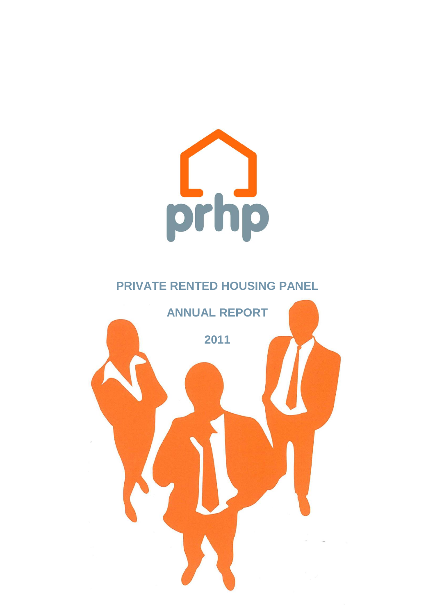

# **PRIVATE RENTED HOUSING PANEL**

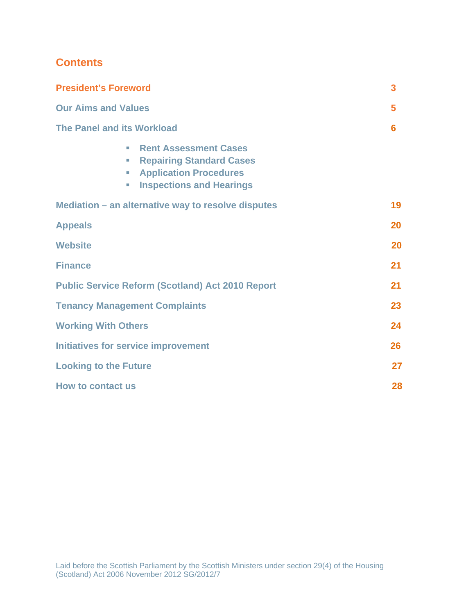## **Contents**

| <b>President's Foreword</b>                                                                                                                                                                   | 3  |
|-----------------------------------------------------------------------------------------------------------------------------------------------------------------------------------------------|----|
| <b>Our Aims and Values</b>                                                                                                                                                                    | 5  |
| <b>The Panel and its Workload</b>                                                                                                                                                             | 6  |
| <b>Rent Assessment Cases</b><br>n.<br><b>Repairing Standard Cases</b><br><b>C</b><br><b>Application Procedures</b><br><b>C</b><br><b>Inspections and Hearings</b><br>$\overline{\phantom{a}}$ |    |
| Mediation – an alternative way to resolve disputes                                                                                                                                            | 19 |
| <b>Appeals</b>                                                                                                                                                                                | 20 |
| <b>Website</b>                                                                                                                                                                                | 20 |
| <b>Finance</b>                                                                                                                                                                                | 21 |
| <b>Public Service Reform (Scotland) Act 2010 Report</b>                                                                                                                                       | 21 |
| <b>Tenancy Management Complaints</b>                                                                                                                                                          | 23 |
| <b>Working With Others</b>                                                                                                                                                                    | 24 |
| <b>Initiatives for service improvement</b>                                                                                                                                                    | 26 |
| <b>Looking to the Future</b>                                                                                                                                                                  | 27 |
| <b>How to contact us</b>                                                                                                                                                                      | 28 |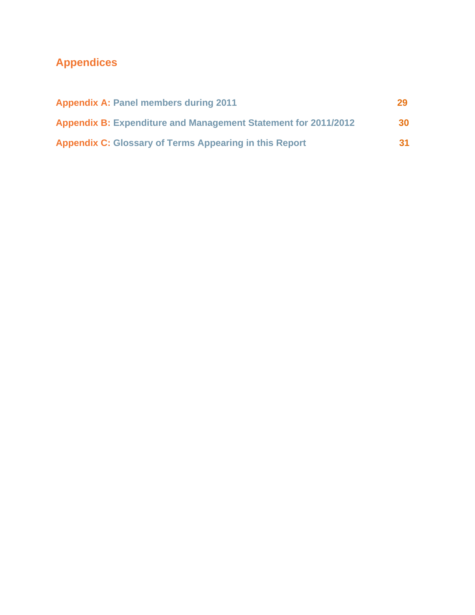# **Appendices**

| <b>Appendix A: Panel members during 2011</b>                          | 29        |
|-----------------------------------------------------------------------|-----------|
| <b>Appendix B: Expenditure and Management Statement for 2011/2012</b> | <b>30</b> |
| <b>Appendix C: Glossary of Terms Appearing in this Report</b>         | <b>31</b> |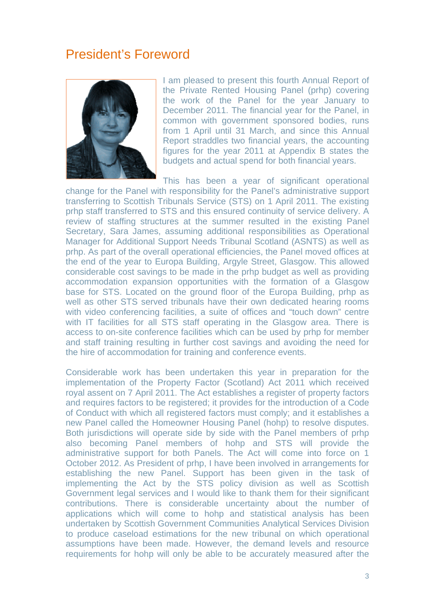# President's Foreword



I am pleased to present this fourth Annual Report of the Private Rented Housing Panel (prhp) covering the work of the Panel for the year January to December 2011. The financial year for the Panel, in common with government sponsored bodies, runs from 1 April until 31 March, and since this Annual Report straddles two financial years, the accounting figures for the year 2011 at Appendix B states the budgets and actual spend for both financial years.

This has been a year of significant operational change for the Panel with responsibility for the Panel's administrative support transferring to Scottish Tribunals Service (STS) on 1 April 2011. The existing prhp staff transferred to STS and this ensured continuity of service delivery. A review of staffing structures at the summer resulted in the existing Panel Secretary, Sara James, assuming additional responsibilities as Operational Manager for Additional Support Needs Tribunal Scotland (ASNTS) as well as prhp. As part of the overall operational efficiencies, the Panel moved offices at the end of the year to Europa Building, Argyle Street, Glasgow. This allowed considerable cost savings to be made in the prhp budget as well as providing accommodation expansion opportunities with the formation of a Glasgow base for STS. Located on the ground floor of the Europa Building, prhp as well as other STS served tribunals have their own dedicated hearing rooms with video conferencing facilities, a suite of offices and "touch down" centre with IT facilities for all STS staff operating in the Glasgow area. There is access to on-site conference facilities which can be used by prhp for member and staff training resulting in further cost savings and avoiding the need for the hire of accommodation for training and conference events.

Considerable work has been undertaken this year in preparation for the implementation of the Property Factor (Scotland) Act 2011 which received royal assent on 7 April 2011. The Act establishes a register of property factors and requires factors to be registered; it provides for the introduction of a Code of Conduct with which all registered factors must comply; and it establishes a new Panel called the Homeowner Housing Panel (hohp) to resolve disputes. Both jurisdictions will operate side by side with the Panel members of prhp also becoming Panel members of hohp and STS will provide the administrative support for both Panels. The Act will come into force on 1 October 2012. As President of prhp, I have been involved in arrangements for establishing the new Panel. Support has been given in the task of implementing the Act by the STS policy division as well as Scottish Government legal services and I would like to thank them for their significant contributions. There is considerable uncertainty about the number of applications which will come to hohp and statistical analysis has been undertaken by Scottish Government Communities Analytical Services Division to produce caseload estimations for the new tribunal on which operational assumptions have been made. However, the demand levels and resource requirements for hohp will only be able to be accurately measured after the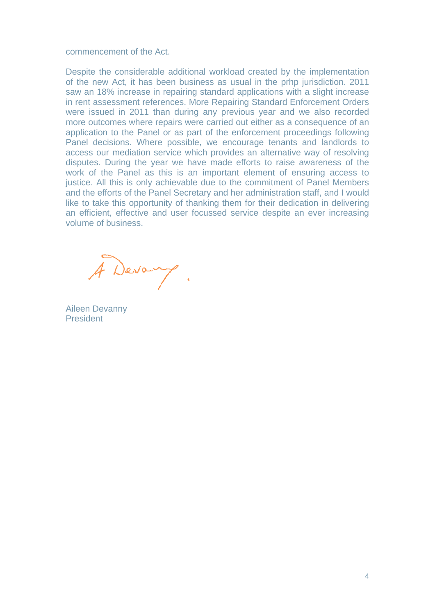commencement of the Act.

Despite the considerable additional workload created by the implementation of the new Act, it has been business as usual in the prhp jurisdiction. 2011 saw an 18% increase in repairing standard applications with a slight increase in rent assessment references. More Repairing Standard Enforcement Orders were issued in 2011 than during any previous year and we also recorded more outcomes where repairs were carried out either as a consequence of an application to the Panel or as part of the enforcement proceedings following Panel decisions. Where possible, we encourage tenants and landlords to access our mediation service which provides an alternative way of resolving disputes. During the year we have made efforts to raise awareness of the work of the Panel as this is an important element of ensuring access to justice. All this is only achievable due to the commitment of Panel Members and the efforts of the Panel Secretary and her administration staff, and I would like to take this opportunity of thanking them for their dedication in delivering an efficient, effective and user focussed service despite an ever increasing volume of business.

A Devang.

Aileen Devanny President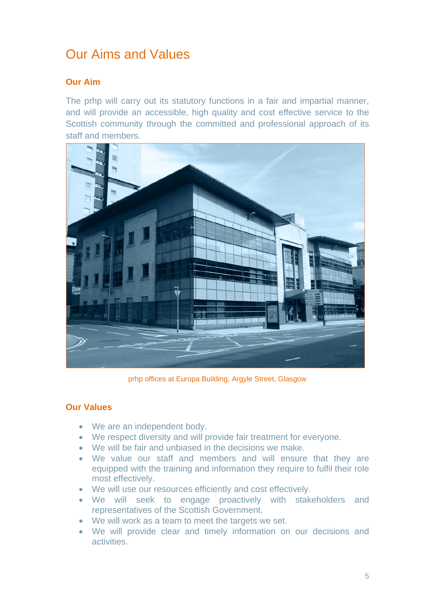# Our Aims and Values

### **Our Aim**

The prhp will carry out its statutory functions in a fair and impartial manner, and will provide an accessible, high quality and cost effective service to the Scottish community through the committed and professional approach of its staff and members.



prhp offices at Europa Building, Argyle Street, Glasgow

### **Our Values**

- We are an independent body.
- We respect diversity and will provide fair treatment for everyone.
- We will be fair and unbiased in the decisions we make.
- We value our staff and members and will ensure that they are equipped with the training and information they require to fulfil their role most effectively.
- We will use our resources efficiently and cost effectively.
- We will seek to engage proactively with stakeholders and representatives of the Scottish Government.
- We will work as a team to meet the targets we set.
- We will provide clear and timely information on our decisions and activities.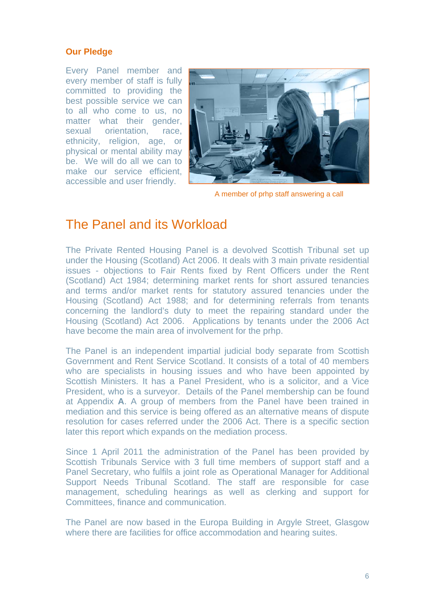#### **Our Pledge**

Every Panel member and every member of staff is fully committed to providing the best possible service we can to all who come to us, no matter what their gender, sexual orientation, race, ethnicity, religion, age, or physical or mental ability may be. We will do all we can to make our service efficient, accessible and user friendly.



A member of prhp staff answering a call

## The Panel and its Workload

The Private Rented Housing Panel is a devolved Scottish Tribunal set up under the Housing (Scotland) Act 2006. It deals with 3 main private residential issues - objections to Fair Rents fixed by Rent Officers under the Rent (Scotland) Act 1984; determining market rents for short assured tenancies and terms and/or market rents for statutory assured tenancies under the Housing (Scotland) Act 1988; and for determining referrals from tenants concerning the landlord's duty to meet the repairing standard under the Housing (Scotland) Act 2006. Applications by tenants under the 2006 Act have become the main area of involvement for the prhp.

The Panel is an independent impartial judicial body separate from Scottish Government and Rent Service Scotland. It consists of a total of 40 members who are specialists in housing issues and who have been appointed by Scottish Ministers. It has a Panel President, who is a solicitor, and a Vice President, who is a surveyor. Details of the Panel membership can be found at Appendix **A**. A group of members from the Panel have been trained in mediation and this service is being offered as an alternative means of dispute resolution for cases referred under the 2006 Act. There is a specific section later this report which expands on the mediation process.

Since 1 April 2011 the administration of the Panel has been provided by Scottish Tribunals Service with 3 full time members of support staff and a Panel Secretary, who fulfils a joint role as Operational Manager for Additional Support Needs Tribunal Scotland. The staff are responsible for case management, scheduling hearings as well as clerking and support for Committees, finance and communication.

The Panel are now based in the Europa Building in Argyle Street, Glasgow where there are facilities for office accommodation and hearing suites.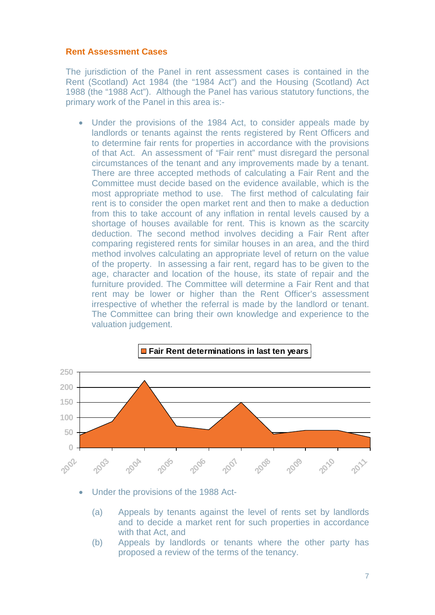#### **Rent Assessment Cases**

The jurisdiction of the Panel in rent assessment cases is contained in the Rent (Scotland) Act 1984 (the "1984 Act") and the Housing (Scotland) Act 1988 (the "1988 Act"). Although the Panel has various statutory functions, the primary work of the Panel in this area is:-

• Under the provisions of the 1984 Act, to consider appeals made by landlords or tenants against the rents registered by Rent Officers and to determine fair rents for properties in accordance with the provisions of that Act. An assessment of "Fair rent" must disregard the personal circumstances of the tenant and any improvements made by a tenant. There are three accepted methods of calculating a Fair Rent and the Committee must decide based on the evidence available, which is the most appropriate method to use. The first method of calculating fair rent is to consider the open market rent and then to make a deduction from this to take account of any inflation in rental levels caused by a shortage of houses available for rent. This is known as the scarcity deduction. The second method involves deciding a Fair Rent after comparing registered rents for similar houses in an area, and the third method involves calculating an appropriate level of return on the value of the property. In assessing a fair rent, regard has to be given to the age, character and location of the house, its state of repair and the furniture provided. The Committee will determine a Fair Rent and that rent may be lower or higher than the Rent Officer's assessment irrespective of whether the referral is made by the landlord or tenant. The Committee can bring their own knowledge and experience to the valuation judgement.



- Under the provisions of the 1988 Act-
	- (a) Appeals by tenants against the level of rents set by landlords and to decide a market rent for such properties in accordance with that Act, and
	- (b) Appeals by landlords or tenants where the other party has proposed a review of the terms of the tenancy.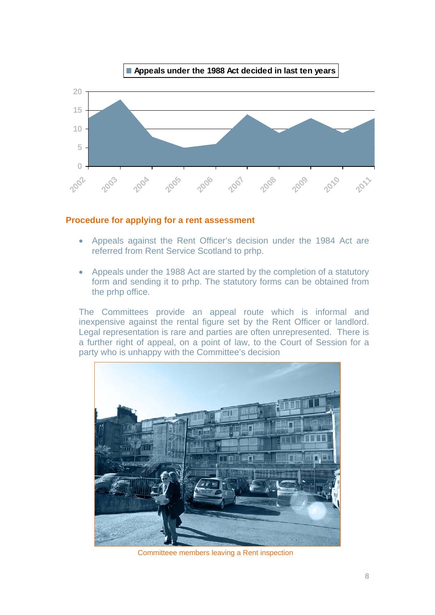

#### **Procedure for applying for a rent assessment**

- Appeals against the Rent Officer's decision under the 1984 Act are referred from Rent Service Scotland to prhp.
- Appeals under the 1988 Act are started by the completion of a statutory form and sending it to prhp. The statutory forms can be obtained from the prhp office.

The Committees provide an appeal route which is informal and inexpensive against the rental figure set by the Rent Officer or landlord. Legal representation is rare and parties are often unrepresented. There is a further right of appeal, on a point of law, to the Court of Session for a party who is unhappy with the Committee's decision



Committeee members leaving a Rent inspection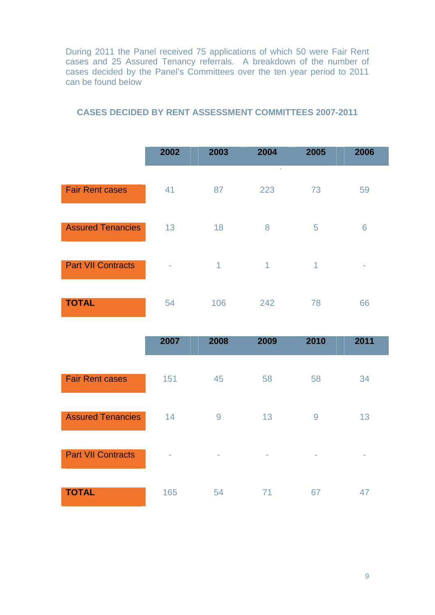During 2011 the Panel received 75 applications of which 50 were Fair Rent cases and 25 Assured Tenancy referrals. A breakdown of the number of cases decided by the Panel's Committees over the ten year period to 2011 can be found below

|                           | 2002           | 2003        | 2004 | 2005 | 2006 |
|---------------------------|----------------|-------------|------|------|------|
| <b>Fair Rent cases</b>    | 41             | 87          | 223  | 73   | 59   |
| <b>Assured Tenancies</b>  | 13             | 18          | 8    | 5    | 6    |
| <b>Part VII Contracts</b> | $\blacksquare$ | $\mathbf 1$ | 1    | 1    | -    |
| <b>TOTAL</b>              | 54             | 106         | 242  | 78   | 66   |

#### **CASES DECIDED BY RENT ASSESSMENT COMMITTEES 2007-2011**

|                           | 2007 | 2008 | 2009   | 2010 | 2011 |
|---------------------------|------|------|--------|------|------|
| <b>Fair Rent cases</b>    | 151  | 45   | 58     | 58   | 34   |
| <b>Assured Tenancies</b>  | 14   | 9    | 13     | 9    | 13   |
| <b>Part VII Contracts</b> | ٠    | ٠    | $\sim$ | ٠    | ٠    |
| <b>TOTAL</b>              | 165  | 54   | 71     | 67   | 47   |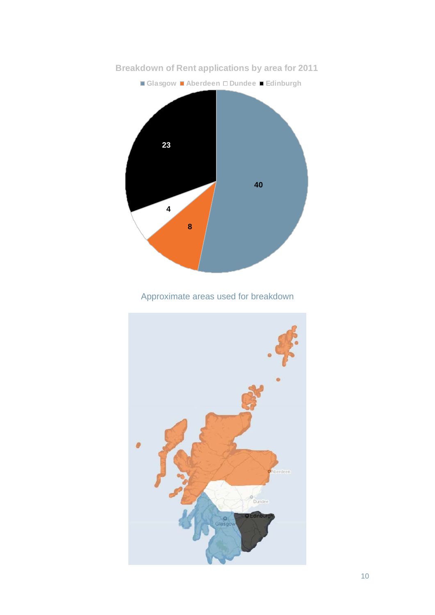

## Approximate areas used for breakdown

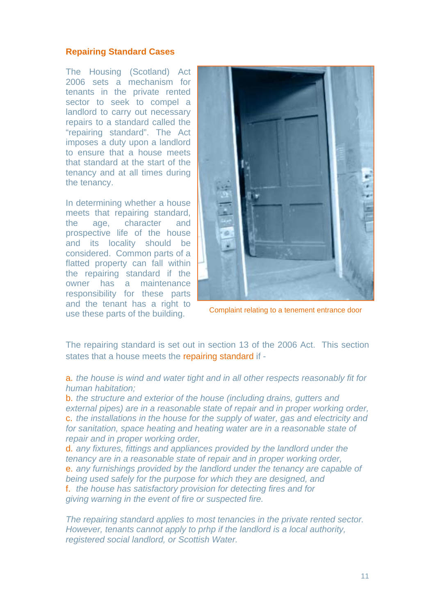#### **Repairing Standard Cases**

The Housing (Scotland) Act 2006 sets a mechanism for tenants in the private rented sector to seek to compel a landlord to carry out necessary repairs to a standard called the "repairing standard". The Act imposes a duty upon a landlord to ensure that a house meets that standard at the start of the tenancy and at all times during the tenancy.

In determining whether a house meets that repairing standard, the age, character and prospective life of the house and its locality should be considered. Common parts of a flatted property can fall within the repairing standard if the owner has a maintenance responsibility for these parts and the tenant has a right to use these parts of the building. Complaint relating to a tenement entrance door



The repairing standard is set out in section 13 of the 2006 Act. This section states that a house meets the repairing standard if -

a. *the house is wind and water tight and in all other respects reasonably fit for human habitation;* 

b. *the structure and exterior of the house (including drains, gutters and external pipes) are in a reasonable state of repair and in proper working order,*  c. *the installations in the house for the supply of water, gas and electricity and for sanitation, space heating and heating water are in a reasonable state of repair and in proper working order,* 

d. *any fixtures, fittings and appliances provided by the landlord under the tenancy are in a reasonable state of repair and in proper working order,*  e. *any furnishings provided by the landlord under the tenancy are capable of being used safely for the purpose for which they are designed, and*  f. *the house has [satisfactory provision](http://www.edinburgh.gov.uk/internet/Housing/Private_tenants_and_home_owners/Letwise/CEC_frequently_asked_questions_-_safety,_inspections,_antisocial_behaviour) for detecting fires and for giving warning in the event of fire or suspected fire.* 

*The repairing standard applies to most tenancies in the private rented sector. However, tenants cannot apply to prhp if the landlord is a local authority, registered social landlord, or Scottish Water.*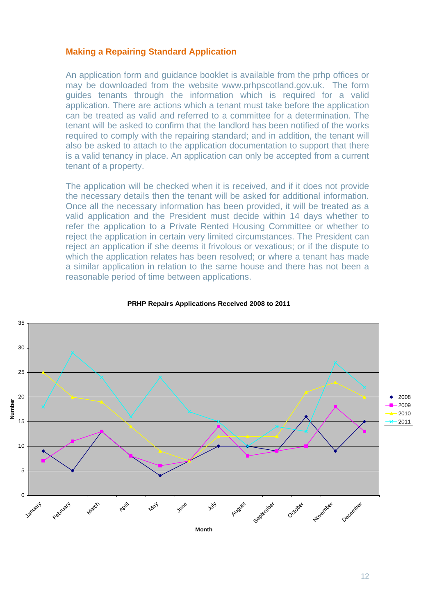#### **Making a Repairing Standard Application**

An application form and guidance booklet is available from the prhp offices or may be downloaded from the website www.prhpscotland.gov.uk. The form guides tenants through the information which is required for a valid application. There are actions which a tenant must take before the application can be treated as valid and referred to a committee for a determination. The tenant will be asked to confirm that the landlord has been notified of the works required to comply with the repairing standard; and in addition, the tenant will also be asked to attach to the application documentation to support that there is a valid tenancy in place. An application can only be accepted from a current tenant of a property.

The application will be checked when it is received, and if it does not provide the necessary details then the tenant will be asked for additional information. Once all the necessary information has been provided, it will be treated as a valid application and the President must decide within 14 days whether to refer the application to a Private Rented Housing Committee or whether to reject the application in certain very limited circumstances. The President can reject an application if she deems it frivolous or vexatious; or if the dispute to which the application relates has been resolved; or where a tenant has made a similar application in relation to the same house and there has not been a reasonable period of time between applications.



#### **PRHP Repairs Applications Received 2008 to 2011**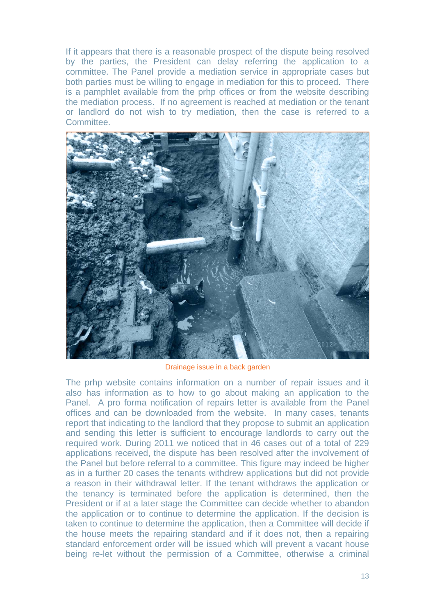If it appears that there is a reasonable prospect of the dispute being resolved by the parties, the President can delay referring the application to a committee. The Panel provide a mediation service in appropriate cases but both parties must be willing to engage in mediation for this to proceed. There is a pamphlet available from the prhp offices or from the website describing the mediation process. If no agreement is reached at mediation or the tenant or landlord do not wish to try mediation, then the case is referred to a Committee.



Drainage issue in a back garden

The prhp website contains information on a number of repair issues and it also has information as to how to go about making an application to the Panel. A pro forma notification of repairs letter is available from the Panel offices and can be downloaded from the website. In many cases, tenants report that indicating to the landlord that they propose to submit an application and sending this letter is sufficient to encourage landlords to carry out the required work. During 2011 we noticed that in 46 cases out of a total of 229 applications received, the dispute has been resolved after the involvement of the Panel but before referral to a committee. This figure may indeed be higher as in a further 20 cases the tenants withdrew applications but did not provide a reason in their withdrawal letter. If the tenant withdraws the application or the tenancy is terminated before the application is determined, then the President or if at a later stage the Committee can decide whether to abandon the application or to continue to determine the application. If the decision is taken to continue to determine the application, then a Committee will decide if the house meets the repairing standard and if it does not, then a repairing standard enforcement order will be issued which will prevent a vacant house being re-let without the permission of a Committee, otherwise a criminal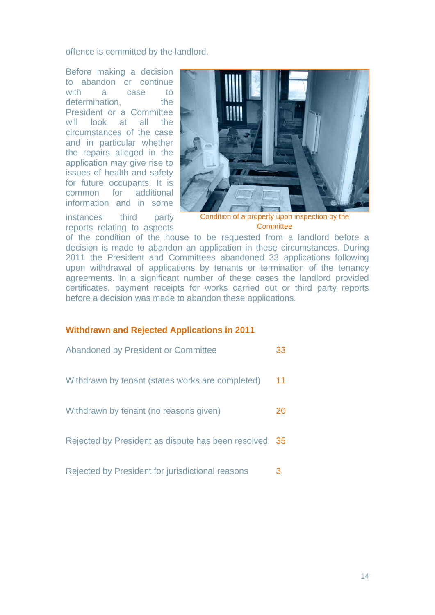offence is committed by the landlord.

Before making a decision to abandon or continue with a case to determination. the President or a Committee will look at all the circumstances of the case and in particular whether the repairs alleged in the application may give rise to issues of health and safety for future occupants. It is common for additional information and in some



instances third party reports relating to aspects

Condition of a property upon inspection by the **Committee** 

of the condition of the house to be requested from a landlord before a decision is made to abandon an application in these circumstances. During 2011 the President and Committees abandoned 33 applications following upon withdrawal of applications by tenants or termination of the tenancy agreements. In a significant number of these cases the landlord provided certificates, payment receipts for works carried out or third party reports before a decision was made to abandon these applications.

#### **Withdrawn and Rejected Applications in 2011**

| Abandoned by President or Committee                   | 33 |
|-------------------------------------------------------|----|
| Withdrawn by tenant (states works are completed)      | 11 |
| Withdrawn by tenant (no reasons given)                | 20 |
| Rejected by President as dispute has been resolved 35 |    |
| Rejected by President for jurisdictional reasons      | 3  |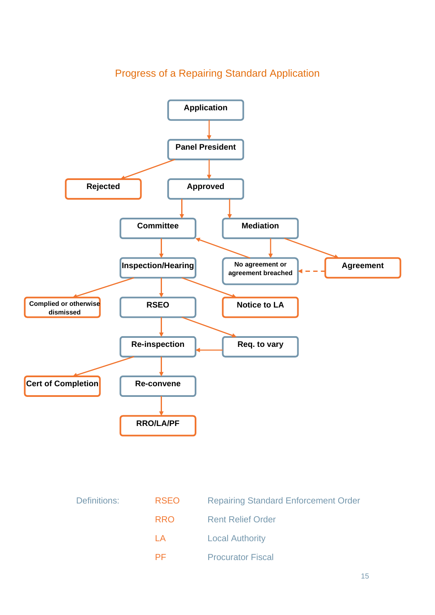

## Progress of a Repairing Standard Application

| Definitions: | <b>RSEO</b> | <b>Repairing Standard Enforcement Order</b> |
|--------------|-------------|---------------------------------------------|
|              | <b>RRO</b>  | <b>Rent Relief Order</b>                    |
|              | AA          | <b>Local Authority</b>                      |
|              | PF.         | <b>Procurator Fiscal</b>                    |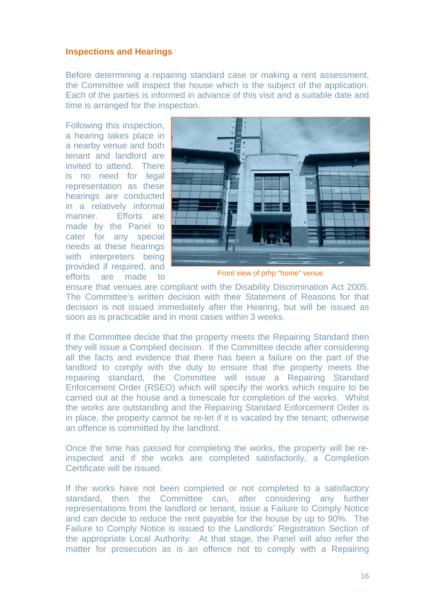#### **Inspections and Hearings**

Before determining a repairing standard case or making a rent assessment, the Committee will inspect the house which is the subject of the application. Each of the parties is informed in advance of this visit and a suitable date and time is arranged for the inspection.

Following this inspection, a hearing takes place in a nearby venue and both tenant and landlord are invited to attend. There is no need for legal representation as these hearings are conducted in a relatively informal manner. Efforts are made by the Panel to cater for any special needs at these hearings with interpreters being provided if required, and efforts are made to



Front view of prhp "home" venue

ensure that venues are compliant with the Disability Discrimination Act 2005. The Committee's written decision with their Statement of Reasons for that decision is not issued immediately after the Hearing, but will be issued as soon as is practicable and in most cases within 3 weeks.

If the Committee decide that the property meets the Repairing Standard then they will issue a Complied decision. If the Committee decide after considering all the facts and evidence that there has been a failure on the part of the landlord to comply with the duty to ensure that the property meets the repairing standard, the Committee will issue a Repairing Standard Enforcement Order (RSEO) which will specify the works which require to be carried out at the house and a timescale for completion of the works. Whilst the works are outstanding and the Repairing Standard Enforcement Order is in place, the property cannot be re-let if it is vacated by the tenant; otherwise an offence is committed by the landlord.

Once the time has passed for completing the works, the property will be reinspected and if the works are completed satisfactorily, a Completion Certificate will be issued.

If the works have not been completed or not completed to a satisfactory standard, then the Committee can, after considering any further representations from the landlord or tenant, issue a Failure to Comply Notice and can decide to reduce the rent payable for the house by up to 90%. The Failure to Comply Notice is issued to the Landlords' Registration Section of the appropriate Local Authority. At that stage, the Panel will also refer the matter for prosecution as is an offence not to comply with a Repairing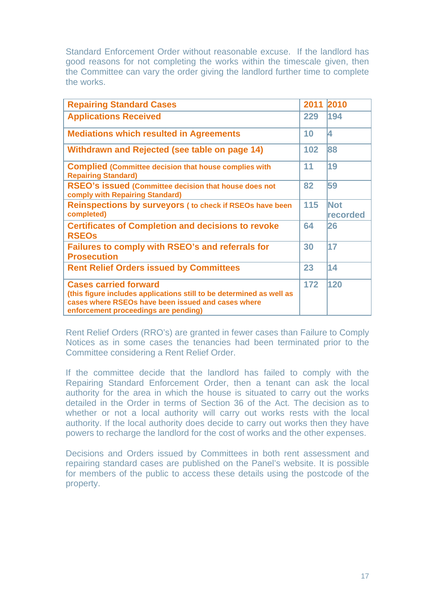Standard Enforcement Order without reasonable excuse. If the landlord has good reasons for not completing the works within the timescale given, then the Committee can vary the order giving the landlord further time to complete the works.

| <b>Repairing Standard Cases</b>                                                                                                                                                                    | 2011 | 2010                   |
|----------------------------------------------------------------------------------------------------------------------------------------------------------------------------------------------------|------|------------------------|
| <b>Applications Received</b>                                                                                                                                                                       | 229  | 194                    |
| <b>Mediations which resulted in Agreements</b>                                                                                                                                                     | 10   | 4                      |
| Withdrawn and Rejected (see table on page 14)                                                                                                                                                      | 102  | 88                     |
| <b>Complied (Committee decision that house complies with</b><br><b>Repairing Standard)</b>                                                                                                         | 11   | 19                     |
| RSEO's issued (Committee decision that house does not<br>comply with Repairing Standard)                                                                                                           | 82   | 59                     |
| <b>Reinspections by surveyors (to check if RSEOs have been</b><br>completed)                                                                                                                       | 115  | <b>Not</b><br>recorded |
| <b>Certificates of Completion and decisions to revoke</b><br><b>RSEOs</b>                                                                                                                          | 64   | 26                     |
| <b>Failures to comply with RSEO's and referrals for</b><br><b>Prosecution</b>                                                                                                                      | 30   | 17                     |
| <b>Rent Relief Orders issued by Committees</b>                                                                                                                                                     | 23   | 14                     |
| <b>Cases carried forward</b><br>(this figure includes applications still to be determined as well as<br>cases where RSEOs have been issued and cases where<br>enforcement proceedings are pending) | 172  | 120                    |

Rent Relief Orders (RRO's) are granted in fewer cases than Failure to Comply Notices as in some cases the tenancies had been terminated prior to the Committee considering a Rent Relief Order.

If the committee decide that the landlord has failed to comply with the Repairing Standard Enforcement Order, then a tenant can ask the local authority for the area in which the house is situated to carry out the works detailed in the Order in terms of Section 36 of the Act. The decision as to whether or not a local authority will carry out works rests with the local authority. If the local authority does decide to carry out works then they have powers to recharge the landlord for the cost of works and the other expenses.

Decisions and Orders issued by Committees in both rent assessment and repairing standard cases are published on the Panel's website. It is possible for members of the public to access these details using the postcode of the property.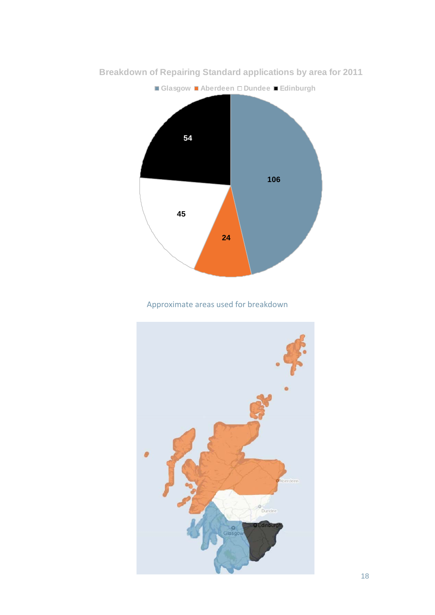

**Breakdown of Repairing Standard applications by area for 2011**

### Approximate areas used for breakdown

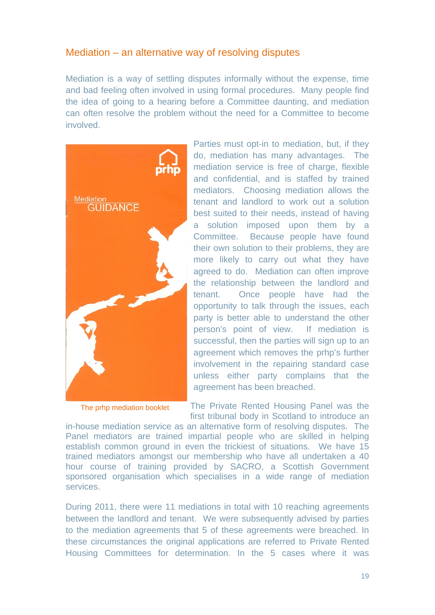### Mediation – an alternative way of resolving disputes

Mediation is a way of settling disputes informally without the expense, time and bad feeling often involved in using formal procedures. Many people find the idea of going to a hearing before a Committee daunting, and mediation can often resolve the problem without the need for a Committee to become involved.



Parties must opt-in to mediation, but, if they do, mediation has many advantages. The mediation service is free of charge, flexible and confidential, and is staffed by trained mediators. Choosing mediation allows the tenant and landlord to work out a solution best suited to their needs, instead of having a solution imposed upon them by a Committee. Because people have found their own solution to their problems, they are more likely to carry out what they have agreed to do. Mediation can often improve the relationship between the landlord and tenant. Once people have had the opportunity to talk through the issues, each party is better able to understand the other person's point of view. If mediation is successful, then the parties will sign up to an agreement which removes the prhp's further involvement in the repairing standard case unless either party complains that the agreement has been breached.

The prhp mediation booklet The Private Rented Housing Panel was the first tribunal body in Scotland to introduce an

in-house mediation service as an alternative form of resolving disputes. The Panel mediators are trained impartial people who are skilled in helping establish common ground in even the trickiest of situations. We have 15 trained mediators amongst our membership who have all undertaken a 40 hour course of training provided by SACRO, a Scottish Government sponsored organisation which specialises in a wide range of mediation services.

During 2011, there were 11 mediations in total with 10 reaching agreements between the landlord and tenant. We were subsequently advised by parties to the mediation agreements that 5 of these agreements were breached. In these circumstances the original applications are referred to Private Rented Housing Committees for determination. In the 5 cases where it was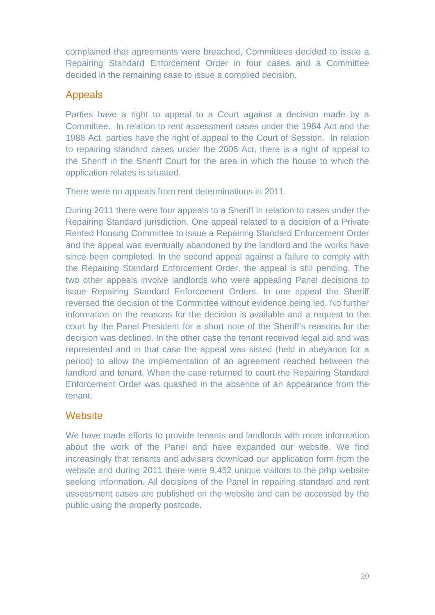complained that agreements were breached, Committees decided to issue a Repairing Standard Enforcement Order in four cases and a Committee decided in the remaining case to issue a complied decision**.** 

### Appeals

Parties have a right to appeal to a Court against a decision made by a Committee. In relation to rent assessment cases under the 1984 Act and the 1988 Act, parties have the right of appeal to the Court of Session. In relation to repairing standard cases under the 2006 Act, there is a right of appeal to the Sheriff in the Sheriff Court for the area in which the house to which the application relates is situated.

There were no appeals from rent determinations in 2011.

During 2011 there were four appeals to a Sheriff in relation to cases under the Repairing Standard jurisdiction. One appeal related to a decision of a Private Rented Housing Committee to issue a Repairing Standard Enforcement Order and the appeal was eventually abandoned by the landlord and the works have since been completed. In the second appeal against a failure to comply with the Repairing Standard Enforcement Order, the appeal is still pending. The two other appeals involve landlords who were appealing Panel decisions to issue Repairing Standard Enforcement Orders. In one appeal the Sheriff reversed the decision of the Committee without evidence being led. No further information on the reasons for the decision is available and a request to the court by the Panel President for a short note of the Sheriff's reasons for the decision was declined. In the other case the tenant received legal aid and was represented and in that case the appeal was sisted (held in abeyance for a period) to allow the implementation of an agreement reached between the landlord and tenant. When the case returned to court the Repairing Standard Enforcement Order was quashed in the absence of an appearance from the tenant.

### **Website**

We have made efforts to provide tenants and landlords with more information about the work of the Panel and have expanded our website. We find increasingly that tenants and advisers download our application form from the website and during 2011 there were 9,452 unique visitors to the prhp website seeking information. All decisions of the Panel in repairing standard and rent assessment cases are published on the website and can be accessed by the public using the property postcode.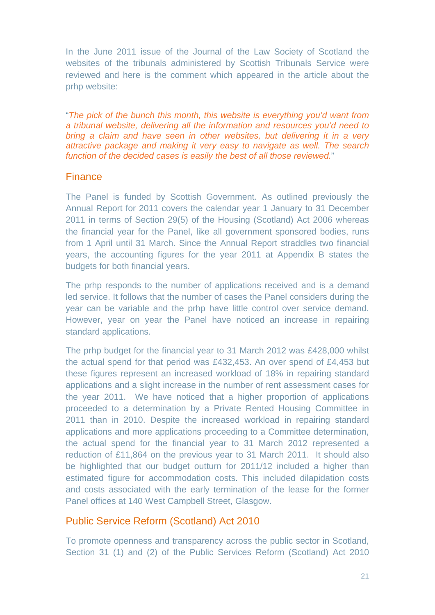In the June 2011 issue of the Journal of the Law Society of Scotland the websites of the tribunals administered by Scottish Tribunals Service were reviewed and here is the comment which appeared in the article about the prhp website:

"*The pick of the bunch this month, this website is everything you'd want from a tribunal website, delivering all the information and resources you'd need to bring a claim and have seen in other websites, but delivering it in a very attractive package and making it very easy to navigate as well. The search function of the decided cases is easily the best of all those reviewed.*"

### Finance

The Panel is funded by Scottish Government. As outlined previously the Annual Report for 2011 covers the calendar year 1 January to 31 December 2011 in terms of Section 29(5) of the Housing (Scotland) Act 2006 whereas the financial year for the Panel, like all government sponsored bodies, runs from 1 April until 31 March. Since the Annual Report straddles two financial years, the accounting figures for the year 2011 at Appendix B states the budgets for both financial years.

The prhp responds to the number of applications received and is a demand led service. It follows that the number of cases the Panel considers during the year can be variable and the prhp have little control over service demand. However, year on year the Panel have noticed an increase in repairing standard applications.

The prhp budget for the financial year to 31 March 2012 was £428,000 whilst the actual spend for that period was £432,453. An over spend of £4,453 but these figures represent an increased workload of 18% in repairing standard applications and a slight increase in the number of rent assessment cases for the year 2011. We have noticed that a higher proportion of applications proceeded to a determination by a Private Rented Housing Committee in 2011 than in 2010. Despite the increased workload in repairing standard applications and more applications proceeding to a Committee determination, the actual spend for the financial year to 31 March 2012 represented a reduction of £11,864 on the previous year to 31 March 2011. It should also be highlighted that our budget outturn for 2011/12 included a higher than estimated figure for accommodation costs. This included dilapidation costs and costs associated with the early termination of the lease for the former Panel offices at 140 West Campbell Street, Glasgow.

### Public Service Reform (Scotland) Act 2010

To promote openness and transparency across the public sector in Scotland, Section 31 (1) and (2) of the Public Services Reform (Scotland) Act 2010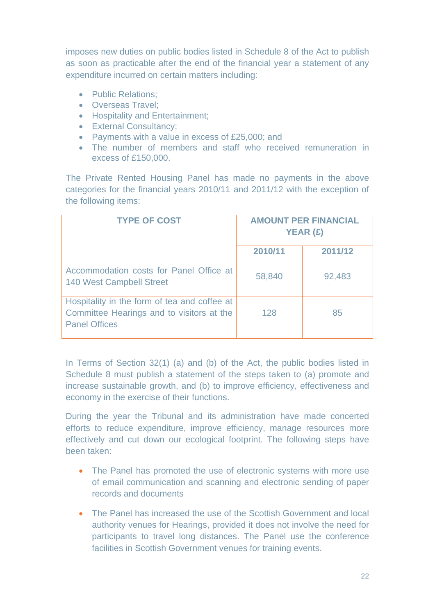imposes new duties on public bodies listed in Schedule 8 of the Act to publish as soon as practicable after the end of the financial year a statement of any expenditure incurred on certain matters including:

- Public Relations:
- Overseas Travel;
- Hospitality and Entertainment;
- External Consultancy;
- Payments with a value in excess of £25,000; and
- The number of members and staff who received remuneration in excess of £150,000.

The Private Rented Housing Panel has made no payments in the above categories for the financial years 2010/11 and 2011/12 with the exception of the following items:

| <b>TYPE OF COST</b>                                                                                               | <b>AMOUNT PER FINANCIAL</b><br>YEAR (£) |         |
|-------------------------------------------------------------------------------------------------------------------|-----------------------------------------|---------|
|                                                                                                                   | 2010/11                                 | 2011/12 |
| Accommodation costs for Panel Office at<br><b>140 West Campbell Street</b>                                        | 58,840                                  | 92,483  |
| Hospitality in the form of tea and coffee at<br>Committee Hearings and to visitors at the<br><b>Panel Offices</b> | 128                                     | 85      |

In Terms of Section 32(1) (a) and (b) of the Act, the public bodies listed in Schedule 8 must publish a statement of the steps taken to (a) promote and increase sustainable growth, and (b) to improve efficiency, effectiveness and economy in the exercise of their functions.

During the year the Tribunal and its administration have made concerted efforts to reduce expenditure, improve efficiency, manage resources more effectively and cut down our ecological footprint. The following steps have been taken:

- The Panel has promoted the use of electronic systems with more use of email communication and scanning and electronic sending of paper records and documents
- The Panel has increased the use of the Scottish Government and local authority venues for Hearings, provided it does not involve the need for participants to travel long distances. The Panel use the conference facilities in Scottish Government venues for training events.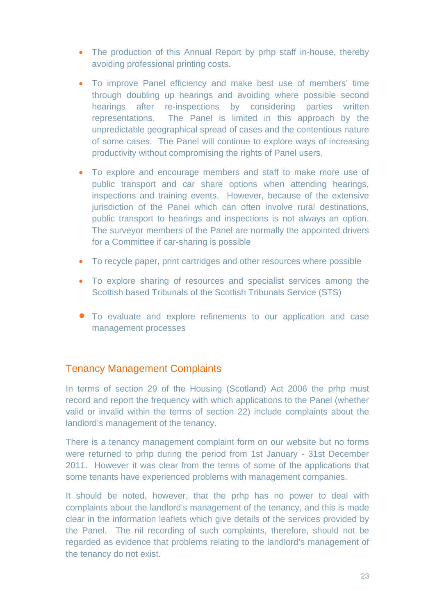- The production of this Annual Report by prhp staff in-house, thereby avoiding professional printing costs.
- To improve Panel efficiency and make best use of members' time through doubling up hearings and avoiding where possible second hearings after re-inspections by considering parties written representations. The Panel is limited in this approach by the unpredictable geographical spread of cases and the contentious nature of some cases. The Panel will continue to explore ways of increasing productivity without compromising the rights of Panel users.
- To explore and encourage members and staff to make more use of public transport and car share options when attending hearings, inspections and training events. However, because of the extensive jurisdiction of the Panel which can often involve rural destinations, public transport to hearings and inspections is not always an option. The surveyor members of the Panel are normally the appointed drivers for a Committee if car-sharing is possible
- To recycle paper, print cartridges and other resources where possible
- To explore sharing of resources and specialist services among the Scottish based Tribunals of the Scottish Tribunals Service (STS)
- To evaluate and explore refinements to our application and case management processes

### Tenancy Management Complaints

In terms of section 29 of the Housing (Scotland) Act 2006 the prhp must record and report the frequency with which applications to the Panel (whether valid or invalid within the terms of section 22) include complaints about the landlord's management of the tenancy.

There is a tenancy management complaint form on our website but no forms were returned to prhp during the period from 1st January - 31st December 2011. However it was clear from the terms of some of the applications that some tenants have experienced problems with management companies.

It should be noted, however, that the prhp has no power to deal with complaints about the landlord's management of the tenancy, and this is made clear in the information leaflets which give details of the services provided by the Panel. The nil recording of such complaints, therefore, should not be regarded as evidence that problems relating to the landlord's management of the tenancy do not exist.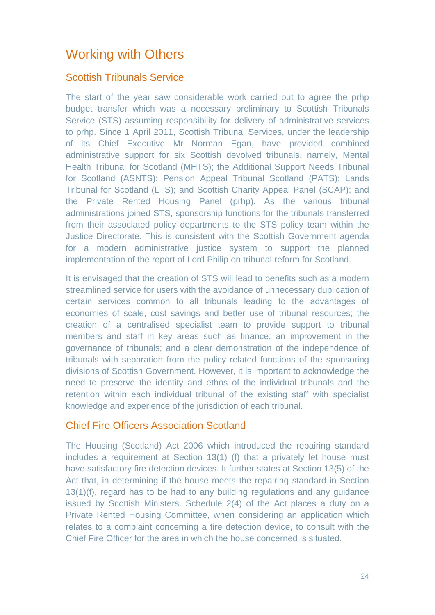# Working with Others

### Scottish Tribunals Service

The start of the year saw considerable work carried out to agree the prhp budget transfer which was a necessary preliminary to Scottish Tribunals Service (STS) assuming responsibility for delivery of administrative services to prhp. Since 1 April 2011, Scottish Tribunal Services, under the leadership of its Chief Executive Mr Norman Egan, have provided combined administrative support for six Scottish devolved tribunals, namely, Mental Health Tribunal for Scotland (MHTS); the Additional Support Needs Tribunal for Scotland (ASNTS); Pension Appeal Tribunal Scotland (PATS); Lands Tribunal for Scotland (LTS); and Scottish Charity Appeal Panel (SCAP); and the Private Rented Housing Panel (prhp). As the various tribunal administrations joined STS, sponsorship functions for the tribunals transferred from their associated policy departments to the STS policy team within the Justice Directorate. This is consistent with the Scottish Government agenda for a modern administrative justice system to support the planned implementation of the report of Lord Philip on tribunal reform for Scotland.

It is envisaged that the creation of STS will lead to benefits such as a modern streamlined service for users with the avoidance of unnecessary duplication of certain services common to all tribunals leading to the advantages of economies of scale, cost savings and better use of tribunal resources; the creation of a centralised specialist team to provide support to tribunal members and staff in key areas such as finance; an improvement in the governance of tribunals; and a clear demonstration of the independence of tribunals with separation from the policy related functions of the sponsoring divisions of Scottish Government. However, it is important to acknowledge the need to preserve the identity and ethos of the individual tribunals and the retention within each individual tribunal of the existing staff with specialist knowledge and experience of the jurisdiction of each tribunal.

### Chief Fire Officers Association Scotland

The Housing (Scotland) Act 2006 which introduced the repairing standard includes a requirement at Section 13(1) (f) that a privately let house must have satisfactory fire detection devices. It further states at Section 13(5) of the Act that, in determining if the house meets the repairing standard in Section 13(1)(f), regard has to be had to any building regulations and any guidance issued by Scottish Ministers. Schedule 2(4) of the Act places a duty on a Private Rented Housing Committee, when considering an application which relates to a complaint concerning a fire detection device, to consult with the Chief Fire Officer for the area in which the house concerned is situated.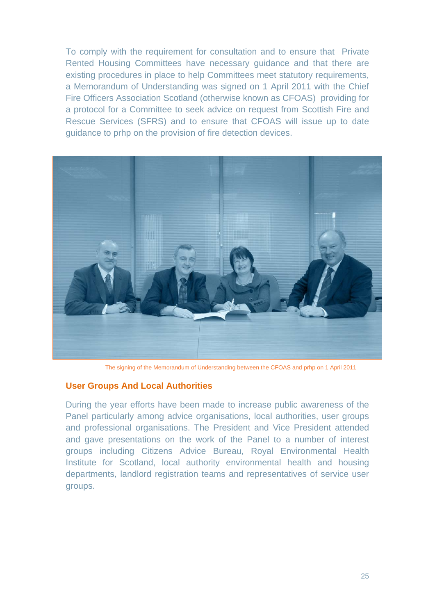To comply with the requirement for consultation and to ensure that Private Rented Housing Committees have necessary guidance and that there are existing procedures in place to help Committees meet statutory requirements, a Memorandum of Understanding was signed on 1 April 2011 with the Chief Fire Officers Association Scotland (otherwise known as CFOAS) providing for a protocol for a Committee to seek advice on request from Scottish Fire and Rescue Services (SFRS) and to ensure that CFOAS will issue up to date guidance to prhp on the provision of fire detection devices.



The signing of the Memorandum of Understanding between the CFOAS and prhp on 1 April 2011

#### **User Groups And Local Authorities**

During the year efforts have been made to increase public awareness of the Panel particularly among advice organisations, local authorities, user groups and professional organisations. The President and Vice President attended and gave presentations on the work of the Panel to a number of interest groups including Citizens Advice Bureau, Royal Environmental Health Institute for Scotland, local authority environmental health and housing departments, landlord registration teams and representatives of service user groups.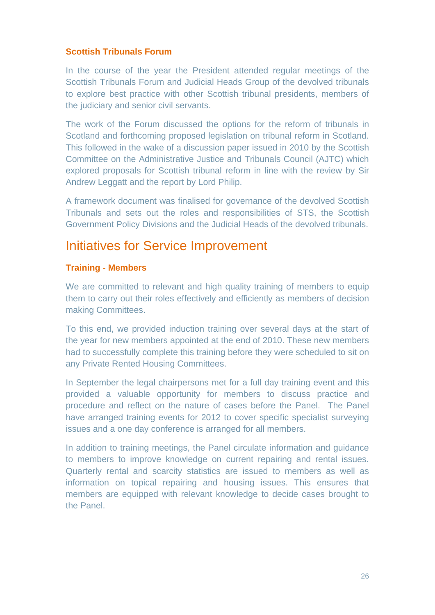#### **Scottish Tribunals Forum**

In the course of the year the President attended regular meetings of the Scottish Tribunals Forum and Judicial Heads Group of the devolved tribunals to explore best practice with other Scottish tribunal presidents, members of the judiciary and senior civil servants.

The work of the Forum discussed the options for the reform of tribunals in Scotland and forthcoming proposed legislation on tribunal reform in Scotland. This followed in the wake of a discussion paper issued in 2010 by the Scottish Committee on the Administrative Justice and Tribunals Council (AJTC) which explored proposals for Scottish tribunal reform in line with the review by Sir Andrew Leggatt and the report by Lord Philip.

A framework document was finalised for governance of the devolved Scottish Tribunals and sets out the roles and responsibilities of STS, the Scottish Government Policy Divisions and the Judicial Heads of the devolved tribunals.

# Initiatives for Service Improvement

#### **Training - Members**

We are committed to relevant and high quality training of members to equip them to carry out their roles effectively and efficiently as members of decision making Committees.

To this end, we provided induction training over several days at the start of the year for new members appointed at the end of 2010. These new members had to successfully complete this training before they were scheduled to sit on any Private Rented Housing Committees.

In September the legal chairpersons met for a full day training event and this provided a valuable opportunity for members to discuss practice and procedure and reflect on the nature of cases before the Panel. The Panel have arranged training events for 2012 to cover specific specialist surveying issues and a one day conference is arranged for all members.

In addition to training meetings, the Panel circulate information and guidance to members to improve knowledge on current repairing and rental issues. Quarterly rental and scarcity statistics are issued to members as well as information on topical repairing and housing issues. This ensures that members are equipped with relevant knowledge to decide cases brought to the Panel.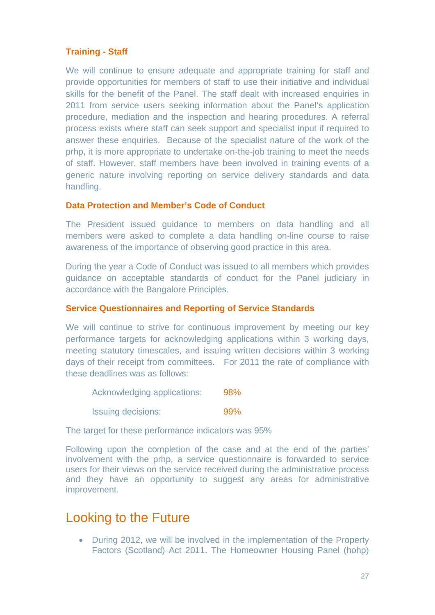#### **Training - Staff**

We will continue to ensure adequate and appropriate training for staff and provide opportunities for members of staff to use their initiative and individual skills for the benefit of the Panel. The staff dealt with increased enquiries in 2011 from service users seeking information about the Panel's application procedure, mediation and the inspection and hearing procedures. A referral process exists where staff can seek support and specialist input if required to answer these enquiries. Because of the specialist nature of the work of the prhp, it is more appropriate to undertake on-the-job training to meet the needs of staff. However, staff members have been involved in training events of a generic nature involving reporting on service delivery standards and data handling.

#### **Data Protection and Member's Code of Conduct**

The President issued guidance to members on data handling and all members were asked to complete a data handling on-line course to raise awareness of the importance of observing good practice in this area.

During the year a Code of Conduct was issued to all members which provides guidance on acceptable standards of conduct for the Panel judiciary in accordance with the Bangalore Principles.

#### **Service Questionnaires and Reporting of Service Standards**

We will continue to strive for continuous improvement by meeting our key performance targets for acknowledging applications within 3 working days, meeting statutory timescales, and issuing written decisions within 3 working days of their receipt from committees. For 2011 the rate of compliance with these deadlines was as follows:

Acknowledging applications: 98%

Issuing decisions: 99%

The target for these performance indicators was 95%

Following upon the completion of the case and at the end of the parties' involvement with the prhp, a service questionnaire is forwarded to service users for their views on the service received during the administrative process and they have an opportunity to suggest any areas for administrative improvement.

## Looking to the Future

• During 2012, we will be involved in the implementation of the Property Factors (Scotland) Act 2011. The Homeowner Housing Panel (hohp)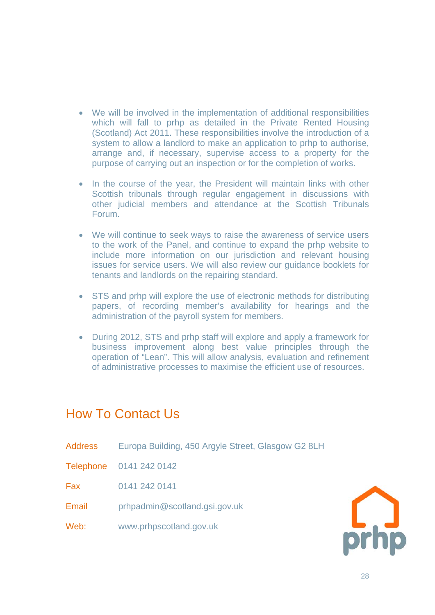- We will be involved in the implementation of additional responsibilities which will fall to prhp as detailed in the Private Rented Housing (Scotland) Act 2011. These responsibilities involve the introduction of a system to allow a landlord to make an application to prhp to authorise, arrange and, if necessary, supervise access to a property for the purpose of carrying out an inspection or for the completion of works.
- In the course of the year, the President will maintain links with other Scottish tribunals through regular engagement in discussions with other judicial members and attendance at the Scottish Tribunals Forum.
- We will continue to seek ways to raise the awareness of service users to the work of the Panel, and continue to expand the prhp website to include more information on our jurisdiction and relevant housing issues for service users. We will also review our guidance booklets for tenants and landlords on the repairing standard.
- STS and prhp will explore the use of electronic methods for distributing papers, of recording member's availability for hearings and the administration of the payroll system for members.
- During 2012, STS and prhp staff will explore and apply a framework for business improvement along best value principles through the operation of "Lean". This will allow analysis, evaluation and refinement of administrative processes to maximise the efficient use of resources.

# How To Contact Us

Address Europa Building, 450 Argyle Street, Glasgow G2 8LH

Telephone 0141 242 0142

Fax 0141 242 0141

Email prhpadmin@scotland.gsi.gov.uk

Web: www.prhpscotland.gov.uk

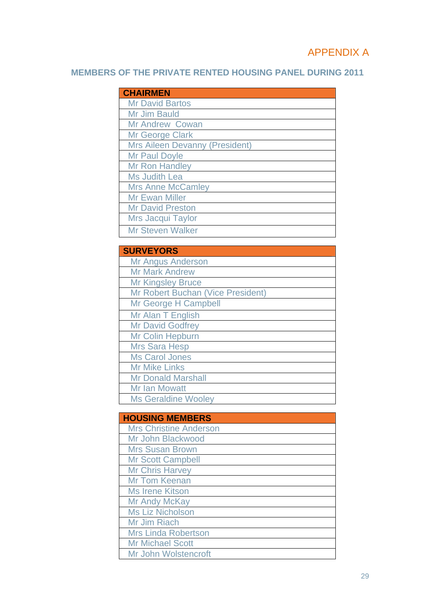## APPENDIX A

## **MEMBERS OF THE PRIVATE RENTED HOUSING PANEL DURING 2011**

| <b>CHAIRMEN</b>                       |
|---------------------------------------|
| <b>Mr David Bartos</b>                |
| Mr Jim Bauld                          |
| <b>Mr Andrew Cowan</b>                |
| <b>Mr George Clark</b>                |
| <b>Mrs Aileen Devanny (President)</b> |
| <b>Mr Paul Doyle</b>                  |
| <b>Mr Ron Handley</b>                 |
| <b>Ms Judith Lea</b>                  |
| <b>Mrs Anne McCamley</b>              |
| <b>Mr Ewan Miller</b>                 |
| <b>Mr David Preston</b>               |
| Mrs Jacqui Taylor                     |
| <b>Mr Steven Walker</b>               |

| <b>SURVEYORS</b>                  |
|-----------------------------------|
| <b>Mr Angus Anderson</b>          |
| <b>Mr Mark Andrew</b>             |
| <b>Mr Kingsley Bruce</b>          |
| Mr Robert Buchan (Vice President) |
| Mr George H Campbell              |
| Mr Alan T English                 |
| <b>Mr David Godfrey</b>           |
| Mr Colin Hepburn                  |
| <b>Mrs Sara Hesp</b>              |
| <b>Ms Carol Jones</b>             |
| <b>Mr Mike Links</b>              |
| <b>Mr Donald Marshall</b>         |
| <b>Mr Ian Mowatt</b>              |
| <b>Ms Geraldine Wooley</b>        |

| <b>HOUSING MEMBERS</b>        |
|-------------------------------|
| <b>Mrs Christine Anderson</b> |
| Mr John Blackwood             |
| <b>Mrs Susan Brown</b>        |
| <b>Mr Scott Campbell</b>      |
| <b>Mr Chris Harvey</b>        |
| <b>Mr Tom Keenan</b>          |
| <b>Ms Irene Kitson</b>        |
| <b>Mr Andy McKay</b>          |
| <b>Ms Liz Nicholson</b>       |
| Mr Jim Riach                  |
| <b>Mrs Linda Robertson</b>    |
| <b>Mr Michael Scott</b>       |
| Mr John Wolstencroft          |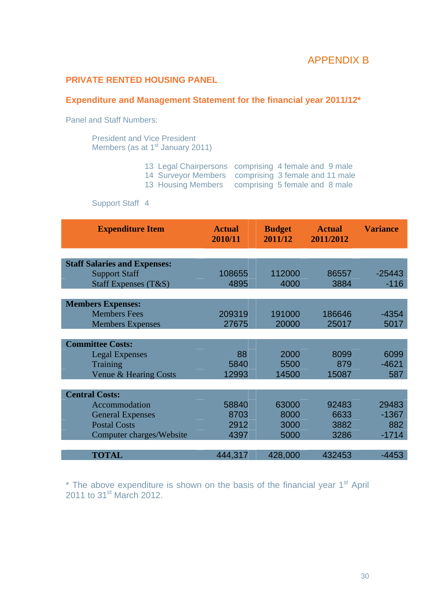### APPENDIX B

### **PRIVATE RENTED HOUSING PANEL**

#### **Expenditure and Management Statement for the financial year 2011/12\***

Panel and Staff Numbers:

President and Vice President Members (as at 1<sup>st</sup> January 2011)

- 13 Legal Chairpersons comprising 4 female and 9 male
- 14 Surveyor Members comprising 3 female and 11 male
- 13 Housing Members comprising 5 female and 8 male

Support Staff 4

| <b>Expenditure Item</b>             | <b>Actual</b><br>2010/11 | <b>Budget</b><br>2011/12 | <b>Actual</b><br>2011/2012 | <b>Variance</b> |
|-------------------------------------|--------------------------|--------------------------|----------------------------|-----------------|
|                                     |                          |                          |                            |                 |
| <b>Staff Salaries and Expenses:</b> |                          |                          |                            |                 |
| <b>Support Staff</b>                | 108655                   | 112000                   | 86557                      | $-25443$        |
| Staff Expenses (T&S)                | 4895                     | 4000                     | 3884                       | $-116$          |
|                                     |                          |                          |                            |                 |
| <b>Members Expenses:</b>            |                          |                          |                            |                 |
| <b>Members Fees</b>                 | 209319                   | 191000                   | 186646                     | $-4354$         |
| <b>Members Expenses</b>             | 27675                    | 20000                    | 25017                      | 5017            |
|                                     |                          |                          |                            |                 |
| <b>Committee Costs:</b>             |                          |                          |                            |                 |
| <b>Legal Expenses</b>               | 88                       | 2000                     | 8099                       | 6099            |
| Training                            | 5840                     | 5500                     | 879                        | $-4621$         |
| Venue & Hearing Costs               | 12993                    | 14500                    | 15087                      | 587             |
|                                     |                          |                          |                            |                 |
| <b>Central Costs:</b>               |                          |                          |                            |                 |
| Accommodation                       | 58840                    | 63000                    | 92483                      | 29483           |
| <b>General Expenses</b>             | 8703                     | 8000                     | 6633                       | $-1367$         |
| <b>Postal Costs</b>                 | 2912                     | 3000                     | 3882                       | 882             |
| Computer charges/Website            | 4397                     | 5000                     | 3286                       | $-1714$         |
|                                     |                          |                          |                            |                 |
| <b>TOTAL</b>                        | 444,317                  | 428,000                  | 432453                     | $-4453$         |

 $*$  The above expenditure is shown on the basis of the financial year  $1<sup>st</sup>$  April 2011 to  $31^{st}$  March 2012.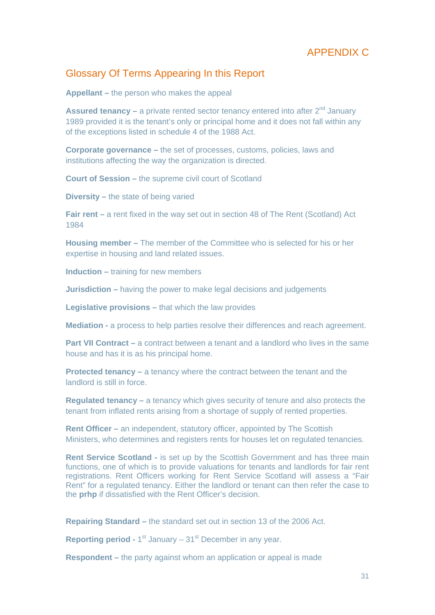### APPENDIX C

### Glossary Of Terms Appearing In this Report

**Appellant –** the person who makes the appeal

**Assured tenancy –** a private rented sector tenancy entered into after 2<sup>nd</sup> January 1989 provided it is the tenant's only or principal home and it does not fall within any of the exceptions listed in schedule 4 of the 1988 Act.

**Corporate governance –** the set of processes, customs, policies, laws and institutions affecting the way the organization is directed.

**Court of Session –** the supreme civil court of Scotland

**Diversity –** the state of being varied

**Fair rent – a rent fixed in the way set out in section 48 of The Rent (Scotland) Act** 1984

**Housing member –** The member of the Committee who is selected for his or her expertise in housing and land related issues.

**Induction –** training for new members

**Jurisdiction –** having the power to make legal decisions and judgements

**Legislative provisions –** that which the law provides

**Mediation -** a process to help parties resolve their differences and reach agreement.

**Part VII Contract –** a contract between a tenant and a landlord who lives in the same house and has it is as his principal home.

**Protected tenancy –** a tenancy where the contract between the tenant and the landlord is still in force.

**Regulated tenancy –** a tenancy which gives security of tenure and also protects the tenant from inflated rents arising from a shortage of supply of rented properties.

**Rent Officer –** an independent, statutory officer, appointed by The Scottish Ministers, who determines and registers rents for houses let on regulated tenancies.

**Rent Service Scotland -** is set up by the Scottish Government and has three main functions, one of which is to provide valuations for tenants and landlords for fair rent registrations. Rent Officers working for Rent Service Scotland will assess a "Fair Rent" for a regulated tenancy. Either the landlord or tenant can then refer the case to the **prhp** if dissatisfied with the Rent Officer's decision.

**Repairing Standard –** the standard set out in section 13 of the 2006 Act.

**Reporting period - 1<sup>st</sup> January – 31<sup>st</sup> December in any year.** 

**Respondent –** the party against whom an application or appeal is made